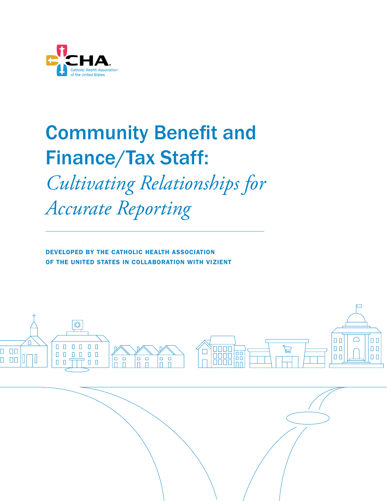

# Community Benefit and Finance/Tax Staff: *Cultivating Relationships for Accurate Reporting*

DEVELOPED BY THE CATHOLIC HEALTH ASSOCIATION OF THE UNITED STATES IN COLLABORATION WITH VIZIENT

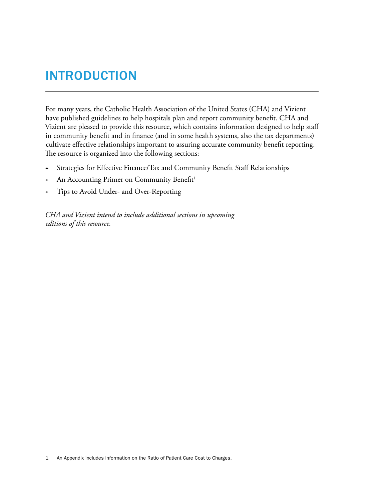# INTRODUCTION

For many years, the Catholic Health Association of the United States (CHA) and Vizient have published guidelines to help hospitals plan and report community benefit. CHA and Vizient are pleased to provide this resource, which contains information designed to help staff in community benefit and in finance (and in some health systems, also the tax departments) cultivate effective relationships important to assuring accurate community benefit reporting. The resource is organized into the following sections:

- Strategies for Effective Finance/Tax and Community Benefit Staff Relationships
- An Accounting Primer on Community Benefit<sup>1</sup>
- Tips to Avoid Under- and Over-Reporting

*CHA and Vizient intend to include additional sections in upcoming editions of this resource.*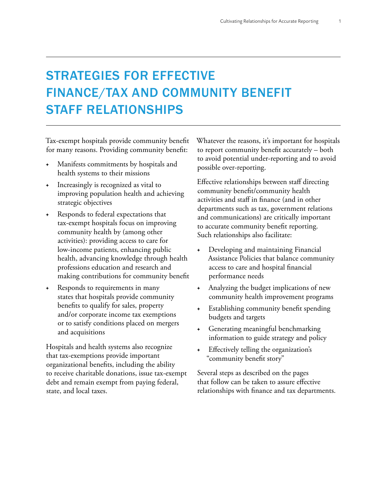# STRATEGIES FOR EFFECTIVE FINANCE/TAX AND COMMUNITY BENEFIT STAFF RELATIONSHIPS

Tax-exempt hospitals provide community benefit for many reasons. Providing community benefit:

- + Manifests commitments by hospitals and health systems to their missions
- Increasingly is recognized as vital to improving population health and achieving strategic objectives
- + Responds to federal expectations that tax-exempt hospitals focus on improving community health by (among other activities): providing access to care for low-income patients, enhancing public health, advancing knowledge through health professions education and research and making contributions for community benefit
- + Responds to requirements in many states that hospitals provide community benefits to qualify for sales, property and/or corporate income tax exemptions or to satisfy conditions placed on mergers and acquisitions

Hospitals and health systems also recognize that tax-exemptions provide important organizational benefits, including the ability to receive charitable donations, issue tax-exempt debt and remain exempt from paying federal, state, and local taxes.

Whatever the reasons, it's important for hospitals to report community benefit accurately – both to avoid potential under-reporting and to avoid possible over-reporting.

Effective relationships between staff directing community benefit/community health activities and staff in finance (and in other departments such as tax, government relations and communications) are critically important to accurate community benefit reporting. Such relationships also facilitate:

- + Developing and maintaining Financial Assistance Policies that balance community access to care and hospital financial performance needs
- + Analyzing the budget implications of new community health improvement programs
- + Establishing community benefit spending budgets and targets
- + Generating meaningful benchmarking information to guide strategy and policy
- + Effectively telling the organization's "community benefit story"

Several steps as described on the pages that follow can be taken to assure effective relationships with finance and tax departments.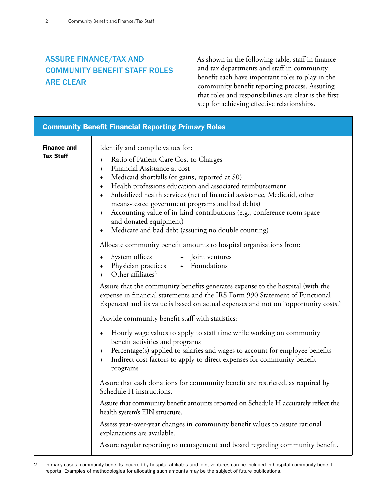### ASSURE FINANCE/TAX AND COMMUNITY BENEFIT STAFF ROLES ARE CLEAR

As shown in the following table, staff in finance and tax departments and staff in community benefit each have important roles to play in the community benefit reporting process. Assuring that roles and responsibilities are clear is the first step for achieving effective relationships.

|                                        | <b>Community Benefit Financial Reporting Primary Roles</b>                                                                                                                                                                                                                                                                                                                                                                                                                                                                                                       |
|----------------------------------------|------------------------------------------------------------------------------------------------------------------------------------------------------------------------------------------------------------------------------------------------------------------------------------------------------------------------------------------------------------------------------------------------------------------------------------------------------------------------------------------------------------------------------------------------------------------|
| <b>Finance and</b><br><b>Tax Staff</b> | Identify and compile values for:<br>Ratio of Patient Care Cost to Charges<br>$\ast$<br>Financial Assistance at cost<br>+<br>Medicaid shortfalls (or gains, reported at \$0)<br>+<br>Health professions education and associated reimbursement<br>$\ast$<br>Subsidized health services (net of financial assistance, Medicaid, other<br>+<br>means-tested government programs and bad debts)<br>Accounting value of in-kind contributions (e.g., conference room space<br>۰<br>and donated equipment)<br>Medicare and bad debt (assuring no double counting)<br>+ |
|                                        | Allocate community benefit amounts to hospital organizations from:<br>System offices<br>+ Joint ventures<br>÷<br>Physician practices + Foundations<br>+<br>Other affiliates <sup>2</sup><br>Assure that the community benefits generates expense to the hospital (with the<br>expense in financial statements and the IRS Form 990 Statement of Functional<br>Expenses) and its value is based on actual expenses and not on "opportunity costs."                                                                                                                |
|                                        | Provide community benefit staff with statistics:                                                                                                                                                                                                                                                                                                                                                                                                                                                                                                                 |
|                                        | Hourly wage values to apply to staff time while working on community<br>$\ast$<br>benefit activities and programs<br>Percentage(s) applied to salaries and wages to account for employee benefits<br>+<br>Indirect cost factors to apply to direct expenses for community benefit<br>+<br>programs                                                                                                                                                                                                                                                               |
|                                        | Assure that cash donations for community benefit are restricted, as required by<br>Schedule H instructions.                                                                                                                                                                                                                                                                                                                                                                                                                                                      |
|                                        | Assure that community benefit amounts reported on Schedule H accurately reflect the<br>health system's EIN structure.                                                                                                                                                                                                                                                                                                                                                                                                                                            |
|                                        | Assess year-over-year changes in community benefit values to assure rational<br>explanations are available.                                                                                                                                                                                                                                                                                                                                                                                                                                                      |
|                                        | Assure regular reporting to management and board regarding community benefit.                                                                                                                                                                                                                                                                                                                                                                                                                                                                                    |

<sup>2</sup> In many cases, community benefits incurred by hospital affiliates and joint ventures can be included in hospital community benefit reports. Examples of methodologies for allocating such amounts may be the subject of future publications.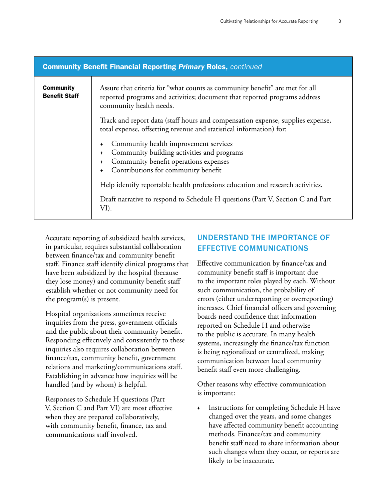| <b>Community Benefit Financial Reporting Primary Roles, continued</b>                                                                                 |                                                                                                                                                                                                                |  |  |
|-------------------------------------------------------------------------------------------------------------------------------------------------------|----------------------------------------------------------------------------------------------------------------------------------------------------------------------------------------------------------------|--|--|
| <b>Community</b><br><b>Benefit Staff</b>                                                                                                              | Assure that criteria for "what counts as community benefit" are met for all<br>reported programs and activities; document that reported programs address<br>community health needs.                            |  |  |
| Track and report data (staff hours and compensation expense, supplies expense,<br>total expense, offsetting revenue and statistical information) for: |                                                                                                                                                                                                                |  |  |
|                                                                                                                                                       | Community health improvement services<br>$\ddot{}$<br>Community building activities and programs<br>$\ddotmark$<br>Community benefit operations expenses<br>Contributions for community benefit<br>$\ddotmark$ |  |  |
|                                                                                                                                                       | Help identify reportable health professions education and research activities.                                                                                                                                 |  |  |
|                                                                                                                                                       | Draft narrative to respond to Schedule H questions (Part V, Section C and Part<br>VI).                                                                                                                         |  |  |

Accurate reporting of subsidized health services, in particular, requires substantial collaboration between finance/tax and community benefit staff. Finance staff identify clinical programs that have been subsidized by the hospital (because they lose money) and community benefit staff establish whether or not community need for the program(s) is present.

Hospital organizations sometimes receive inquiries from the press, government officials and the public about their community benefit. Responding effectively and consistently to these inquiries also requires collaboration between finance/tax, community benefit, government relations and marketing/communications staff. Establishing in advance how inquiries will be handled (and by whom) is helpful.

Responses to Schedule H questions (Part V, Section C and Part VI) are most effective when they are prepared collaboratively, with community benefit, finance, tax and communications staff involved.

### UNDERSTAND THE IMPORTANCE OF EFFECTIVE COMMUNICATIONS

Effective communication by finance/tax and community benefit staff is important due to the important roles played by each. Without such communication, the probability of errors (either underreporting or overreporting) increases. Chief financial officers and governing boards need confidence that information reported on Schedule H and otherwise to the public is accurate. In many health systems, increasingly the finance/tax function is being regionalized or centralized, making communication between local community benefit staff even more challenging.

Other reasons why effective communication is important:

<sup>+</sup> Instructions for completing Schedule H have changed over the years, and some changes have affected community benefit accounting methods. Finance/tax and community benefit staff need to share information about such changes when they occur, or reports are likely to be inaccurate.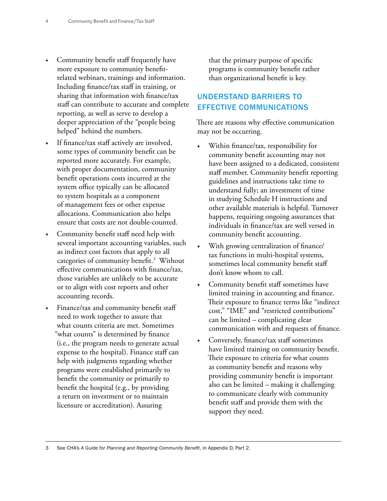- + Community benefit staff frequently have more exposure to community benefitrelated webinars, trainings and information. Including finance/tax staff in training, or sharing that information with finance/tax staff can contribute to accurate and complete reporting, as well as serve to develop a deeper appreciation of the "people being helped" behind the numbers.
- If finance/tax staff actively are involved, some types of community benefit can be reported more accurately. For example, with proper documentation, community benefit operations costs incurred at the system office typically can be allocated to system hospitals as a component of management fees or other expense allocations. Communication also helps ensure that costs are not double-counted.
- Community benefit staff need help with several important accounting variables, such as indirect cost factors that apply to all categories of community benefit.<sup>3</sup> Without effective communications with finance/tax, those variables are unlikely to be accurate or to align with cost reports and other accounting records.
- Finance/tax and community benefit staff need to work together to assure that what counts criteria are met. Sometimes "what counts" is determined by finance (i.e., the program needs to generate actual expense to the hospital). Finance staff can help with judgments regarding whether programs were established primarily to benefit the community or primarily to benefit the hospital (e.g., by providing a return on investment or to maintain licensure or accreditation). Assuring

that the primary purpose of specific programs is community benefit rather than organizational benefit is key.

### UNDERSTAND BARRIERS TO EFFECTIVE COMMUNICATIONS

There are reasons why effective communication may not be occurring.

- Within finance/tax, responsibility for community benefit accounting may not have been assigned to a dedicated, consistent staff member. Community benefit reporting guidelines and instructions take time to understand fully; an investment of time in studying Schedule H instructions and other available materials is helpful. Turnover happens, requiring ongoing assurances that individuals in finance/tax are well versed in community benefit accounting.
- With growing centralization of finance/ tax functions in multi-hospital systems, sometimes local community benefit staff don't know whom to call.
- Community benefit staff sometimes have limited training in accounting and finance. Their exposure to finance terms like "indirect cost," "IME" and "restricted contributions" can be limited – complicating clear communication with and requests of finance.
- Conversely, finance/tax staff sometimes have limited training on community benefit. Their exposure to criteria for what counts as community benefit and reasons why providing community benefit is important also can be limited – making it challenging to communicate clearly with community benefit staff and provide them with the support they need.

3 See CHA's *A Guide for Planning and Reporting Community Benefit*, in Appendix D, Part 2.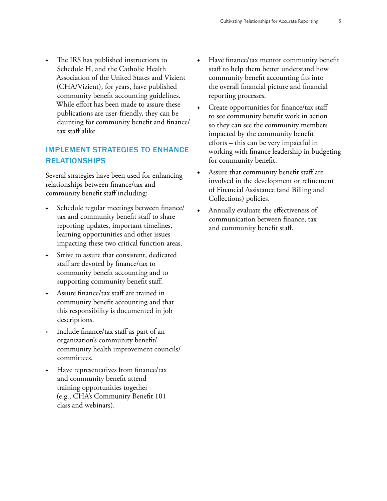+ The IRS has published instructions to Schedule H, and the Catholic Health Association of the United States and Vizient (CHA/Vizient), for years, have published community benefit accounting guidelines. While effort has been made to assure these publications are user-friendly, they can be daunting for community benefit and finance/ tax staff alike.

### IMPLEMENT STRATEGIES TO ENHANCE RELATIONSHIPS

Several strategies have been used for enhancing relationships between finance/tax and community benefit staff including:

- Schedule regular meetings between finance/ tax and community benefit staff to share reporting updates, important timelines, learning opportunities and other issues impacting these two critical function areas.
- Strive to assure that consistent, dedicated staff are devoted by finance/tax to community benefit accounting and to supporting community benefit staff.
- Assure finance/tax staff are trained in community benefit accounting and that this responsibility is documented in job descriptions.
- Include finance/tax staff as part of an organization's community benefit/ community health improvement councils/ committees.
- Have representatives from finance/tax and community benefit attend training opportunities together (e.g., CHA's Community Benefit 101 class and webinars).
- + Have finance/tax mentor community benefit staff to help them better understand how community benefit accounting fits into the overall financial picture and financial reporting processes.
- Create opportunities for finance/tax staff to see community benefit work in action so they can see the community members impacted by the community benefit efforts – this can be very impactful in working with finance leadership in budgeting for community benefit.
- Assure that community benefit staff are involved in the development or refinement of Financial Assistance (and Billing and Collections) policies.
- Annually evaluate the effectiveness of communication between finance, tax and community benefit staff.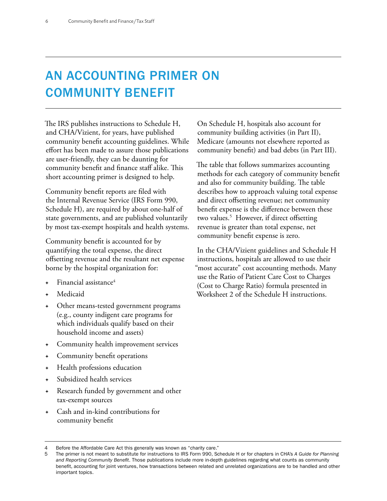# AN ACCOUNTING PRIMER ON COMMUNITY BENEFIT

The IRS publishes instructions to Schedule H, and CHA/Vizient, for years, have published community benefit accounting guidelines. While effort has been made to assure those publications are user-friendly, they can be daunting for community benefit and finance staff alike. This short accounting primer is designed to help.

Community benefit reports are filed with the Internal Revenue Service (IRS Form 990, Schedule H), are required by about one-half of state governments, and are published voluntarily by most tax-exempt hospitals and health systems.

Community benefit is accounted for by quantifying the total expense, the direct offsetting revenue and the resultant net expense borne by the hospital organization for:

- Financial assistance $4$
- Medicaid
- Other means-tested government programs (e.g., county indigent care programs for which individuals qualify based on their household income and assets)
- + Community health improvement services
- Community benefit operations
- Health professions education
- Subsidized health services
- Research funded by government and other tax-exempt sources
- Cash and in-kind contributions for community benefit

On Schedule H, hospitals also account for community building activities (in Part II), Medicare (amounts not elsewhere reported as community benefit) and bad debts (in Part III).

The table that follows summarizes accounting methods for each category of community benefit and also for community building. The table describes how to approach valuing total expense and direct offsetting revenue; net community benefit expense is the difference between these two values.5 However, if direct offsetting revenue is greater than total expense, net community benefit expense is zero.

In the CHA/Vizient guidelines and Schedule H instructions, hospitals are allowed to use their "most accurate" cost accounting methods. Many use the Ratio of Patient Care Cost to Charges (Cost to Charge Ratio) formula presented in Worksheet 2 of the Schedule H instructions.

<sup>4</sup> Before the Affordable Care Act this generally was known as "charity care."

<sup>5</sup> The primer is not meant to substitute for instructions to IRS Form 990, Schedule H or for chapters in CHA's *A Guide for Planning and Reporting Community Benefit*. Those publications include more in-depth guidelines regarding what counts as community benefit, accounting for joint ventures, how transactions between related and unrelated organizations are to be handled and other important topics.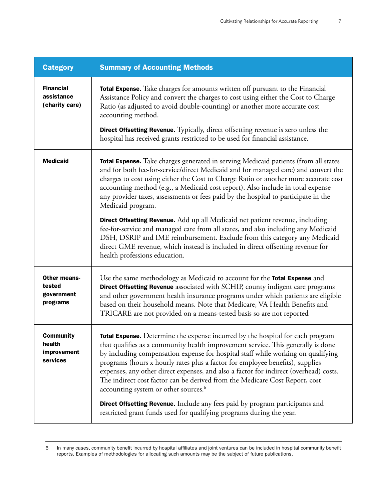| <b>Category</b>                                         | <b>Summary of Accounting Methods</b>                                                                                                                                                                                                                                                                                                                                                                                                                                                                                                                                                                                                        |  |  |
|---------------------------------------------------------|---------------------------------------------------------------------------------------------------------------------------------------------------------------------------------------------------------------------------------------------------------------------------------------------------------------------------------------------------------------------------------------------------------------------------------------------------------------------------------------------------------------------------------------------------------------------------------------------------------------------------------------------|--|--|
| <b>Financial</b><br>assistance<br>(charity care)        | <b>Total Expense.</b> Take charges for amounts written off pursuant to the Financial<br>Assistance Policy and convert the charges to cost using either the Cost to Charge<br>Ratio (as adjusted to avoid double-counting) or another more accurate cost<br>accounting method.<br><b>Direct Offsetting Revenue.</b> Typically, direct offsetting revenue is zero unless the                                                                                                                                                                                                                                                                  |  |  |
|                                                         | hospital has received grants restricted to be used for financial assistance.                                                                                                                                                                                                                                                                                                                                                                                                                                                                                                                                                                |  |  |
| <b>Medicaid</b>                                         | <b>Total Expense.</b> Take charges generated in serving Medicaid patients (from all states<br>and for both fee-for-service/direct Medicaid and for managed care) and convert the<br>charges to cost using either the Cost to Charge Ratio or another more accurate cost<br>accounting method (e.g., a Medicaid cost report). Also include in total expense<br>any provider taxes, assessments or fees paid by the hospital to participate in the<br>Medicaid program.<br>Direct Offsetting Revenue. Add up all Medicaid net patient revenue, including<br>fee-for-service and managed care from all states, and also including any Medicaid |  |  |
|                                                         | DSH, DSRIP and IME reimbursement. Exclude from this category any Medicaid<br>direct GME revenue, which instead is included in direct offsetting revenue for<br>health professions education.                                                                                                                                                                                                                                                                                                                                                                                                                                                |  |  |
| <b>Other means-</b><br>tested<br>government<br>programs | Use the same methodology as Medicaid to account for the Total Expense and<br>Direct Offsetting Revenue associated with SCHIP, county indigent care programs<br>and other government health insurance programs under which patients are eligible<br>based on their household means. Note that Medicare, VA Health Benefits and<br>TRICARE are not provided on a means-tested basis so are not reported                                                                                                                                                                                                                                       |  |  |
| <b>Community</b><br>health<br>improvement<br>services   | <b>Total Expense.</b> Determine the expense incurred by the hospital for each program<br>that qualifies as a community health improvement service. This generally is done<br>by including compensation expense for hospital staff while working on qualifying<br>programs (hours x hourly rates plus a factor for employee benefits), supplies<br>expenses, any other direct expenses, and also a factor for indirect (overhead) costs.<br>The indirect cost factor can be derived from the Medicare Cost Report, cost<br>accounting system or other sources. <sup>6</sup>                                                                  |  |  |
|                                                         | <b>Direct Offsetting Revenue.</b> Include any fees paid by program participants and<br>restricted grant funds used for qualifying programs during the year.                                                                                                                                                                                                                                                                                                                                                                                                                                                                                 |  |  |

<sup>6</sup> In many cases, community benefit incurred by hospital affiliates and joint ventures can be included in hospital community benefit reports. Examples of methodologies for allocating such amounts may be the subject of future publications.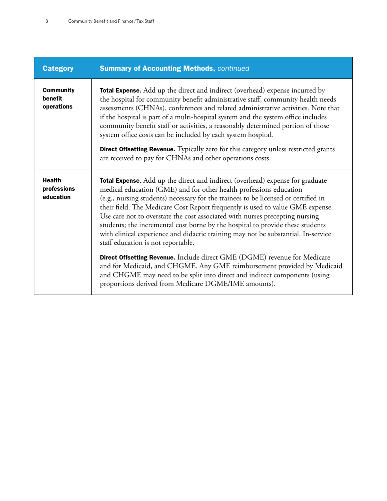| <b>Category</b>                           | <b>Summary of Accounting Methods, continued</b>                                                                                                                                                                                                                                                                                                                                                                                                                                                                                                                                                                                                                                                              |  |  |
|-------------------------------------------|--------------------------------------------------------------------------------------------------------------------------------------------------------------------------------------------------------------------------------------------------------------------------------------------------------------------------------------------------------------------------------------------------------------------------------------------------------------------------------------------------------------------------------------------------------------------------------------------------------------------------------------------------------------------------------------------------------------|--|--|
| <b>Community</b><br>benefit<br>operations | <b>Total Expense.</b> Add up the direct and indirect (overhead) expense incurred by<br>the hospital for community benefit administrative staff, community health needs<br>assessments (CHNAs), conferences and related administrative activities. Note that<br>if the hospital is part of a multi-hospital system and the system office includes<br>community benefit staff or activities, a reasonably determined portion of those<br>system office costs can be included by each system hospital.<br><b>Direct Offsetting Revenue.</b> Typically zero for this category unless restricted grants<br>are received to pay for CHNAs and other operations costs.                                              |  |  |
| <b>Health</b><br>professions<br>education | Total Expense. Add up the direct and indirect (overhead) expense for graduate<br>medical education (GME) and for other health professions education<br>(e.g., nursing students) necessary for the trainees to be licensed or certified in<br>their field. The Medicare Cost Report frequently is used to value GME expense.<br>Use care not to overstate the cost associated with nurses precepting nursing<br>students; the incremental cost borne by the hospital to provide these students<br>with clinical experience and didactic training may not be substantial. In-service<br>staff education is not reportable.<br><b>Direct Offsetting Revenue.</b> Include direct GME (DGME) revenue for Medicare |  |  |
|                                           | and for Medicaid, and CHGME. Any GME reimbursement provided by Medicaid<br>and CHGME may need to be split into direct and indirect components (using<br>proportions derived from Medicare DGME/IME amounts).                                                                                                                                                                                                                                                                                                                                                                                                                                                                                                 |  |  |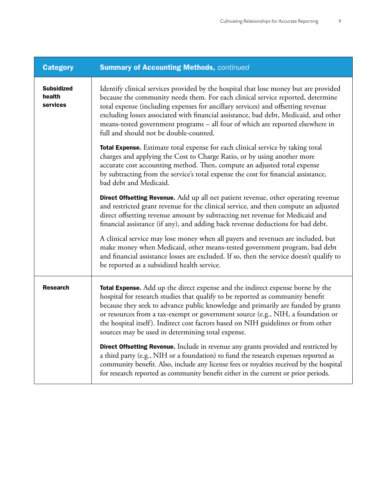| <b>Category</b>                         | <b>Summary of Accounting Methods, continued</b>                                                                                                                                                                                                                                                                                                                                                                                                                                          |  |  |
|-----------------------------------------|------------------------------------------------------------------------------------------------------------------------------------------------------------------------------------------------------------------------------------------------------------------------------------------------------------------------------------------------------------------------------------------------------------------------------------------------------------------------------------------|--|--|
| <b>Subsidized</b><br>health<br>services | Identify clinical services provided by the hospital that lose money but are provided<br>because the community needs them. For each clinical service reported, determine<br>total expense (including expenses for ancillary services) and offsetting revenue<br>excluding losses associated with financial assistance, bad debt, Medicaid, and other<br>means-tested government programs - all four of which are reported elsewhere in<br>full and should not be double-counted.          |  |  |
|                                         | Total Expense. Estimate total expense for each clinical service by taking total<br>charges and applying the Cost to Charge Ratio, or by using another more<br>accurate cost accounting method. Then, compute an adjusted total expense<br>by subtracting from the service's total expense the cost for financial assistance,<br>bad debt and Medicaid.                                                                                                                                   |  |  |
|                                         | Direct Offsetting Revenue. Add up all net patient revenue, other operating revenue<br>and restricted grant revenue for the clinical service, and then compute an adjusted<br>direct offsetting revenue amount by subtracting net revenue for Medicaid and<br>financial assistance (if any), and adding back revenue deductions for bad debt.                                                                                                                                             |  |  |
|                                         | A clinical service may lose money when all payers and revenues are included, but<br>make money when Medicaid, other means-tested government program, bad debt<br>and financial assistance losses are excluded. If so, then the service doesn't qualify to<br>be reported as a subsidized health service.                                                                                                                                                                                 |  |  |
| <b>Research</b>                         | <b>Total Expense.</b> Add up the direct expense and the indirect expense borne by the<br>hospital for research studies that qualify to be reported as community benefit<br>because they seek to advance public knowledge and primarily are funded by grants<br>or resources from a tax-exempt or government source (e.g., NIH, a foundation or<br>the hospital itself). Indirect cost factors based on NIH guidelines or from other<br>sources may be used in determining total expense. |  |  |
|                                         | <b>Direct Offsetting Revenue.</b> Include in revenue any grants provided and restricted by<br>a third party (e.g., NIH or a foundation) to fund the research expenses reported as<br>community benefit. Also, include any license fees or royalties received by the hospital<br>for research reported as community benefit either in the current or prior periods.                                                                                                                       |  |  |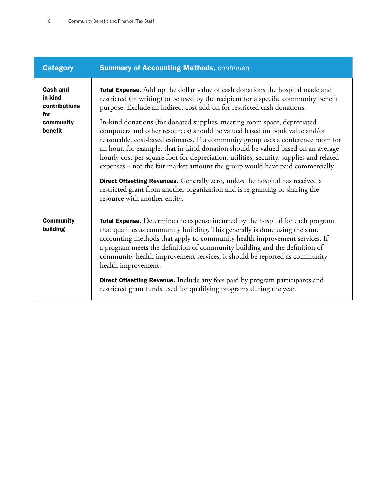| <b>Category</b>                                                            | <b>Summary of Accounting Methods, continued</b>                                                                                                                                                                                                                                                                                                                                                                                                                                                                                                                                                                                                                                                                                                                         |  |
|----------------------------------------------------------------------------|-------------------------------------------------------------------------------------------------------------------------------------------------------------------------------------------------------------------------------------------------------------------------------------------------------------------------------------------------------------------------------------------------------------------------------------------------------------------------------------------------------------------------------------------------------------------------------------------------------------------------------------------------------------------------------------------------------------------------------------------------------------------------|--|
| <b>Cash and</b><br>in-kind<br>contributions<br>for<br>community<br>benefit | <b>Total Expense.</b> Add up the dollar value of cash donations the hospital made and<br>restricted (in writing) to be used by the recipient for a specific community benefit<br>purpose. Exclude an indirect cost add-on for restricted cash donations.<br>In-kind donations (for donated supplies, meeting room space, depreciated<br>computers and other resources) should be valued based on book value and/or<br>reasonable, cost-based estimates. If a community group uses a conference room for<br>an hour, for example, that in-kind donation should be valued based on an average<br>hourly cost per square foot for depreciation, utilities, security, supplies and related<br>expenses - not the fair market amount the group would have paid commercially. |  |
|                                                                            | Direct Offsetting Revenues. Generally zero, unless the hospital has received a<br>restricted grant from another organization and is re-granting or sharing the<br>resource with another entity.                                                                                                                                                                                                                                                                                                                                                                                                                                                                                                                                                                         |  |
| <b>Community</b><br>building                                               | Total Expense. Determine the expense incurred by the hospital for each program<br>that qualifies as community building. This generally is done using the same<br>accounting methods that apply to community health improvement services. If<br>a program meets the definition of community building and the definition of<br>community health improvement services, it should be reported as community<br>health improvement.<br>Direct Offsetting Revenue. Include any fees paid by program participants and<br>restricted grant funds used for qualifying programs during the year.                                                                                                                                                                                   |  |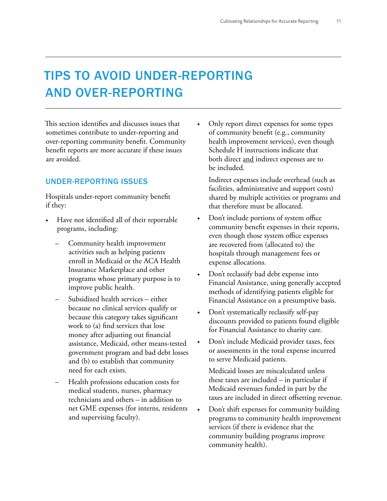# TIPS TO AVOID UNDER-REPORTING AND OVER-REPORTING

This section identifies and discusses issues that sometimes contribute to under-reporting and over-reporting community benefit. Community benefit reports are more accurate if these issues are avoided.

### UNDER-REPORTING ISSUES

Hospitals under-report community benefit if they:

- Have not identified all of their reportable programs, including:
	- Community health improvement activities such as helping patients enroll in Medicaid or the ACA Health Insurance Marketplace and other programs whose primary purpose is to improve public health.
	- Subsidized health services either because no clinical services qualify or because this category takes significant work to (a) find services that lose money after adjusting out financial assistance, Medicaid, other means-tested government program and bad debt losses and (b) to establish that community need for each exists.
	- Health professions education costs for medical students, nurses, pharmacy technicians and others – in addition to net GME expenses (for interns, residents and supervising faculty).

Only report direct expenses for some types of community benefit (e.g., community health improvement services), even though Schedule H instructions indicate that both direct and indirect expenses are to be included.

Indirect expenses include overhead (such as facilities, administrative and support costs) shared by multiple activities or programs and that therefore must be allocated.

- Don't include portions of system office community benefit expenses in their reports, even though those system office expenses are recovered from (allocated to) the hospitals through management fees or expense allocations.
- Don't reclassify bad debt expense into Financial Assistance, using generally accepted methods of identifying patients eligible for Financial Assistance on a presumptive basis.
- Don't systematically reclassify self-pay discounts provided to patients found eligible for Financial Assistance to charity care.
- Don't include Medicaid provider taxes, fees or assessments in the total expense incurred to serve Medicaid patients.

Medicaid losses are miscalculated unless these taxes are included – in particular if Medicaid revenues funded in part by the taxes are included in direct offsetting revenue.

+ Don't shift expenses for community building programs to community health improvement services (if there is evidence that the community building programs improve community health).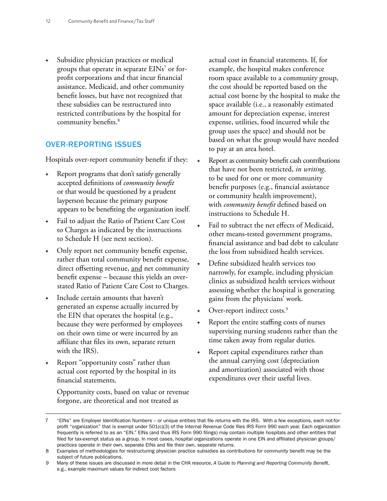Subsidize physician practices or medical groups that operate in separate  $\mathrm{EINs}^{7}$  or forprofit corporations and that incur financial assistance, Medicaid, and other community benefit losses, but have not recognized that these subsidies can be restructured into restricted contributions by the hospital for community benefits.<sup>8</sup>

#### OVER-REPORTING ISSUES

Hospitals over-report community benefit if they:

- Report programs that don't satisfy generally accepted definitions of *community benefit* or that would be questioned by a prudent layperson because the primary purpose appears to be benefiting the organization itself.
- Fail to adjust the Ratio of Patient Care Cost to Charges as indicated by the instructions to Schedule H (see next section).
- Only report net community benefit expense, rather than total community benefit expense, direct offsetting revenue, and net community benefit expense – because this yields an overstated Ratio of Patient Care Cost to Charges.
- Include certain amounts that haven't generated an expense actually incurred by the EIN that operates the hospital (e.g., because they were performed by employees on their own time or were incurred by an affiliate that files its own, separate return with the IRS).
- Report "opportunity costs" rather than actual cost reported by the hospital in its financial statements.

Opportunity costs, based on value or revenue forgone, are theoretical and not treated as

actual cost in financial statements. If, for example, the hospital makes conference room space available to a community group, the cost should be reported based on the actual cost borne by the hospital to make the space available (i.e., a reasonably estimated amount for depreciation expense, interest expense, utilities, food incurred while the group uses the space) and should not be based on what the group would have needed to pay at an area hotel.

- Report as community benefit cash contributions that have not been restricted, *in writing*, to be used for one or more community benefit purposes (e.g., financial assistance or community health improvement), with *community benefit* defined based on instructions to Schedule H.
- Fail to subtract the net effects of Medicaid, other means-tested government programs, financial assistance and bad debt to calculate the loss from subsidized health services.
- Define subsidized health services too narrowly, for example, including physician clinics as subsidized health services without assessing whether the hospital is generating gains from the physicians' work.
- + Over-report indirect costs.<sup>9</sup>
- Report the entire staffing costs of nurses supervising nursing students rather than the time taken away from regular duties.
- Report capital expenditures rather than the annual carrying cost (depreciation and amortization) associated with those expenditures over their useful lives.

<sup>7 &</sup>quot;EINs" are Employer Identification Numbers – or unique entities that file returns with the IRS. With a few exceptions, each not-forprofit "organization" that is exempt under 501(c)(3) of the Internal Revenue Code files IRS Form 990 each year. Each organization frequently is referred to as an "EIN." EINs (and thus IRS Form 990 filings) may contain multiple hospitals and other entities that filed for tax-exempt status as a group. In most cases, hospital organizations operate in one EIN and affiliated physician groups/ practices operate in their own, separate EINs and file their own, separate returns.

<sup>8</sup> Examples of methodologies for restructuring physician practice subsidies as contributions for community benefit may be the subject of future publications.

<sup>9</sup> Many of these issues are discussed in more detail in the CHA resource, *A Guide to Planning and Reporting Community Benefit*, e.g., example maximum values for indirect cost factors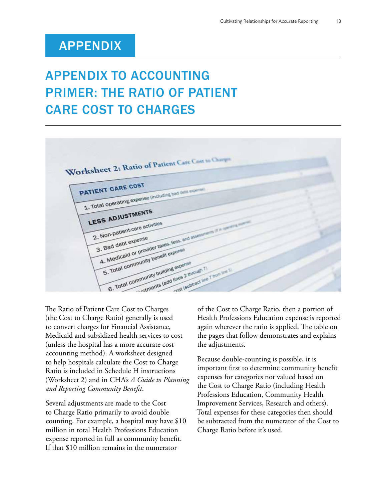# APPENDIX

# APPENDIX TO ACCOUNTING PRIMER: THE RATIO OF PATIENT CARE COST TO CHARGES



The Ratio of Patient Care Cost to Charges (the Cost to Charge Ratio) generally is used to convert charges for Financial Assistance, Medicaid and subsidized health services to cost (unless the hospital has a more accurate cost accounting method). A worksheet designed to help hospitals calculate the Cost to Charge Ratio is included in Schedule H instructions (Worksheet 2) and in CHA's *A Guide to Planning and Reporting Community Benefit*.

Several adjustments are made to the Cost to Charge Ratio primarily to avoid double counting. For example, a hospital may have \$10 million in total Health Professions Education expense reported in full as community benefit. If that \$10 million remains in the numerator

of the Cost to Charge Ratio, then a portion of Health Professions Education expense is reported again wherever the ratio is applied. The table on the pages that follow demonstrates and explains the adjustments.

Because double-counting is possible, it is important first to determine community benefit expenses for categories not valued based on the Cost to Charge Ratio (including Health Professions Education, Community Health Improvement Services, Research and others). Total expenses for these categories then should be subtracted from the numerator of the Cost to Charge Ratio before it's used.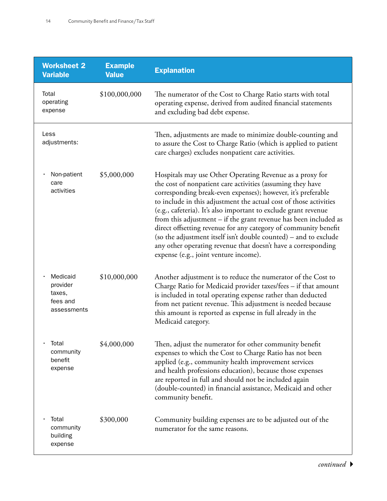| <b>Worksheet 2</b><br><b>Variable</b>                     | <b>Example</b><br><b>Value</b> | <b>Explanation</b>                                                                                                                                                                                                                                                                                                                                                                                                                                                                                                                                                                                                                                  |
|-----------------------------------------------------------|--------------------------------|-----------------------------------------------------------------------------------------------------------------------------------------------------------------------------------------------------------------------------------------------------------------------------------------------------------------------------------------------------------------------------------------------------------------------------------------------------------------------------------------------------------------------------------------------------------------------------------------------------------------------------------------------------|
| Total<br>operating<br>expense                             | \$100,000,000                  | The numerator of the Cost to Charge Ratio starts with total<br>operating expense, derived from audited financial statements<br>and excluding bad debt expense.                                                                                                                                                                                                                                                                                                                                                                                                                                                                                      |
| Less<br>adjustments:                                      |                                | Then, adjustments are made to minimize double-counting and<br>to assure the Cost to Charge Ratio (which is applied to patient<br>care charges) excludes nonpatient care activities.                                                                                                                                                                                                                                                                                                                                                                                                                                                                 |
| Non-patient<br>care<br>activities                         | \$5,000,000                    | Hospitals may use Other Operating Revenue as a proxy for<br>the cost of nonpatient care activities (assuming they have<br>corresponding break-even expenses); however, it's preferable<br>to include in this adjustment the actual cost of those activities<br>(e.g., cafeteria). It's also important to exclude grant revenue<br>from this adjustment - if the grant revenue has been included as<br>direct offsetting revenue for any category of community benefit<br>(so the adjustment itself isn't double counted) – and to exclude<br>any other operating revenue that doesn't have a corresponding<br>expense (e.g., joint venture income). |
| Medicaid<br>provider<br>taxes,<br>fees and<br>assessments | \$10,000,000                   | Another adjustment is to reduce the numerator of the Cost to<br>Charge Ratio for Medicaid provider taxes/fees - if that amount<br>is included in total operating expense rather than deducted<br>from net patient revenue. This adjustment is needed because<br>this amount is reported as expense in full already in the<br>Medicaid category.                                                                                                                                                                                                                                                                                                     |
| Total<br>community<br>benefit<br>expense                  | \$4,000,000                    | Then, adjust the numerator for other community benefit<br>expenses to which the Cost to Charge Ratio has not been<br>applied (e.g., community health improvement services<br>and health professions education), because those expenses<br>are reported in full and should not be included again<br>(double-counted) in financial assistance, Medicaid and other<br>community benefit.                                                                                                                                                                                                                                                               |
| Total<br>community<br>building<br>expense                 | \$300,000                      | Community building expenses are to be adjusted out of the<br>numerator for the same reasons.                                                                                                                                                                                                                                                                                                                                                                                                                                                                                                                                                        |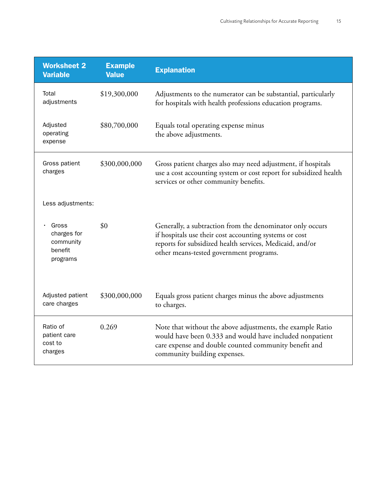| <b>Worksheet 2</b><br><b>Variable</b>                    | <b>Example</b><br><b>Value</b> | <b>Explanation</b>                                                                                                                                                                                                         |
|----------------------------------------------------------|--------------------------------|----------------------------------------------------------------------------------------------------------------------------------------------------------------------------------------------------------------------------|
| Total<br>adjustments                                     | \$19,300,000                   | Adjustments to the numerator can be substantial, particularly<br>for hospitals with health professions education programs.                                                                                                 |
| Adjusted<br>operating<br>expense                         | \$80,700,000                   | Equals total operating expense minus<br>the above adjustments.                                                                                                                                                             |
| Gross patient<br>charges                                 | \$300,000,000                  | Gross patient charges also may need adjustment, if hospitals<br>use a cost accounting system or cost report for subsidized health<br>services or other community benefits.                                                 |
| Less adjustments:                                        |                                |                                                                                                                                                                                                                            |
| Gross<br>charges for<br>community<br>benefit<br>programs | \$0                            | Generally, a subtraction from the denominator only occurs<br>if hospitals use their cost accounting systems or cost<br>reports for subsidized health services, Medicaid, and/or<br>other means-tested government programs. |
| Adjusted patient<br>care charges                         | \$300,000,000                  | Equals gross patient charges minus the above adjustments<br>to charges.                                                                                                                                                    |
| Ratio of<br>patient care<br>cost to<br>charges           | 0.269                          | Note that without the above adjustments, the example Ratio<br>would have been 0.333 and would have included nonpatient<br>care expense and double counted community benefit and<br>community building expenses.            |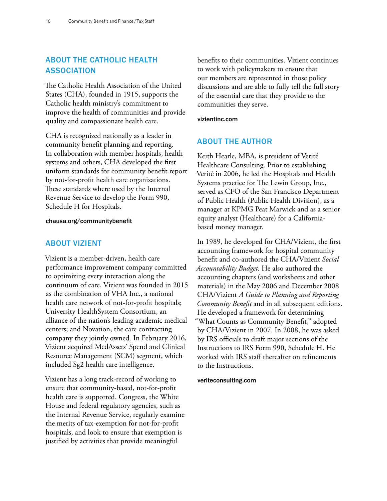### ABOUT THE CATHOLIC HEALTH ASSOCIATION

The Catholic Health Association of the United States (CHA), founded in 1915, supports the Catholic health ministry's commitment to improve the health of communities and provide quality and compassionate health care.

CHA is recognized nationally as a leader in community benefit planning and reporting. In collaboration with member hospitals, health systems and others, CHA developed the first uniform standards for community benefit report by not-for-profit health care organizations. These standards where used by the Internal Revenue Service to develop the Form 990, Schedule H for Hospitals.

#### chausa.org/communitybenefit

#### ABOUT VIZIENT

Vizient is a member-driven, health care performance improvement company committed to optimizing every interaction along the continuum of care. Vizient was founded in 2015 as the combination of VHA Inc., a national health care network of not-for-profit hospitals; University HealthSystem Consortium, an alliance of the nation's leading academic medical centers; and Novation, the care contracting company they jointly owned. In February 2016, Vizient acquired MedAssets' Spend and Clinical Resource Management (SCM) segment, which included Sg2 health care intelligence.

Vizient has a long track-record of working to ensure that community-based, not-for-profit health care is supported. Congress, the White House and federal regulatory agencies, such as the Internal Revenue Service, regularly examine the merits of tax-exemption for not-for-profit hospitals, and look to ensure that exemption is justified by activities that provide meaningful

benefits to their communities. Vizient continues to work with policymakers to ensure that our members are represented in those policy discussions and are able to fully tell the full story of the essential care that they provide to the communities they serve.

#### vizientinc.com

#### ABOUT THE AUTHOR

Keith Hearle, MBA, is president of Verité Healthcare Consulting. Prior to establishing Verité in 2006, he led the Hospitals and Health Systems practice for The Lewin Group, Inc., served as CFO of the San Francisco Department of Public Health (Public Health Division), as a manager at KPMG Peat Marwick and as a senior equity analyst (Healthcare) for a Californiabased money manager.

In 1989, he developed for CHA/Vizient, the first accounting framework for hospital community benefit and co-authored the CHA/Vizient *Social Accountability Budget*. He also authored the accounting chapters (and worksheets and other materials) in the May 2006 and December 2008 CHA/Vizient *A Guide to Planning and Reporting Community Benefit* and in all subsequent editions. He developed a framework for determining "What Counts as Community Benefit," adopted by CHA/Vizient in 2007. In 2008, he was asked by IRS officials to draft major sections of the Instructions to IRS Form 990, Schedule H. He worked with IRS staff thereafter on refinements to the Instructions.

#### veriteconsulting.com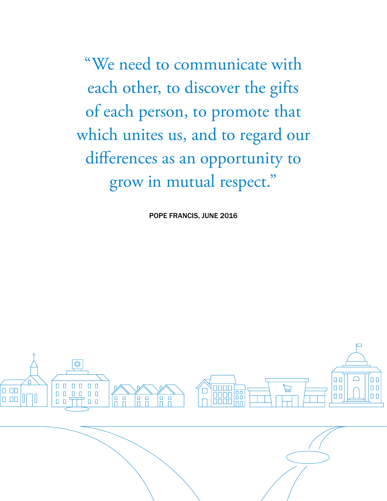"We need to communicate with each other, to discover the gifts of each person, to promote that which unites us, and to regard our differences as an opportunity to grow in mutual respect."

POPE FRANCIS, JUNE 2016